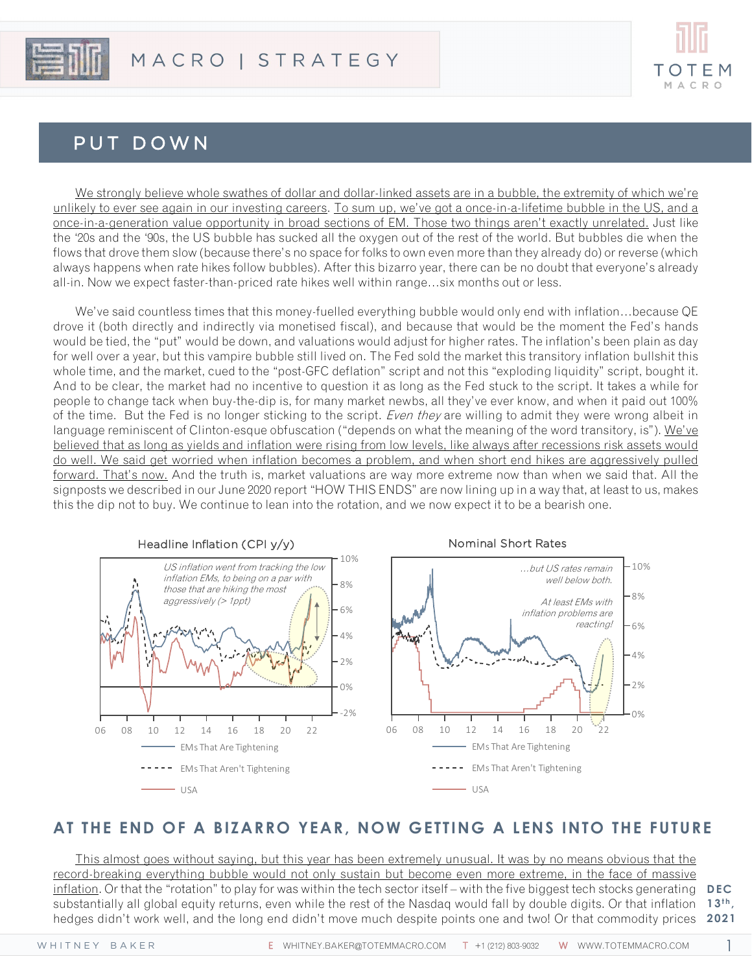

# PUT DOWN

We strongly believe whole swathes of dollar and dollar-linked assets are in a bubble, the extremity of which we're unlikely to ever see again in our investing careers. To sum up, we've got a once-in-a-lifetime bubble in the US, and a once-in-a-generation value opportunity in broad sections of EM. Those two things aren't exactly unrelated. Just like the '20s and the '90s, the US bubble has sucked all the oxygen out of the rest of the world. But bubbles die when the flows that drove them slow (because there's no space for folks to own even more than they already do) or reverse (which always happens when rate hikes follow bubbles). After this bizarro year, there can be no doubt that everyone's already all-in. Now we expect faster-than-priced rate hikes well within range…six months out or less.

We've said countless times that this money-fuelled everything bubble would only end with inflation…because QE drove it (both directly and indirectly via monetised fiscal), and because that would be the moment the Fed's hands would be tied, the "put" would be down, and valuations would adjust for higher rates. The inflation's been plain as day for well over a year, but this vampire bubble still lived on. The Fed sold the market this transitory inflation bullshit this whole time, and the market, cued to the "post-GFC deflation" script and not this "exploding liquidity" script, bought it. And to be clear, the market had no incentive to question it as long as the Fed stuck to the script. It takes a while for people to change tack when buy-the-dip is, for many market newbs, all they've ever know, and when it paid out 100% of the time. But the Fed is no longer sticking to the script. Even they are willing to admit they were wrong albeit in language reminiscent of Clinton-esque obfuscation ("depends on what the meaning of the word transitory, is"). We've believed that as long as yields and inflation were rising from low levels, like always after recessions risk assets would do well. We said get worried when inflation becomes a problem, and when short end hikes are aggressively pulled forward. That's now. And the truth is, market valuations are way more extreme now than when we said that. All the signposts we described in our June 2020 report "HOW THIS ENDS" are now lining up in a way that, at least to us, makes this the dip not to buy. We continue to lean into the rotation, and we now expect it to be a bearish one.



# **AT THE END OF A BIZARRO YEAR, NOW GETTING A LENS INTO THE FUTURE**

This almost goes without saying, but this year has been extremely unusual. It was by no means obvious that the record-breaking everything bubble would not only sustain but become even more extreme, in the face of massive inflation. Or that the "rotation" to play for was within the tech sector itself – with the five biggest tech stocks generating **DEC** substantially all global equity returns, even while the rest of the Nasdaq would fall by double digits. Or that inflation 13<sup>th</sup>, hedges didn't work well, and the long end didn't move much despite points one and two! Or that commodity prices **2021**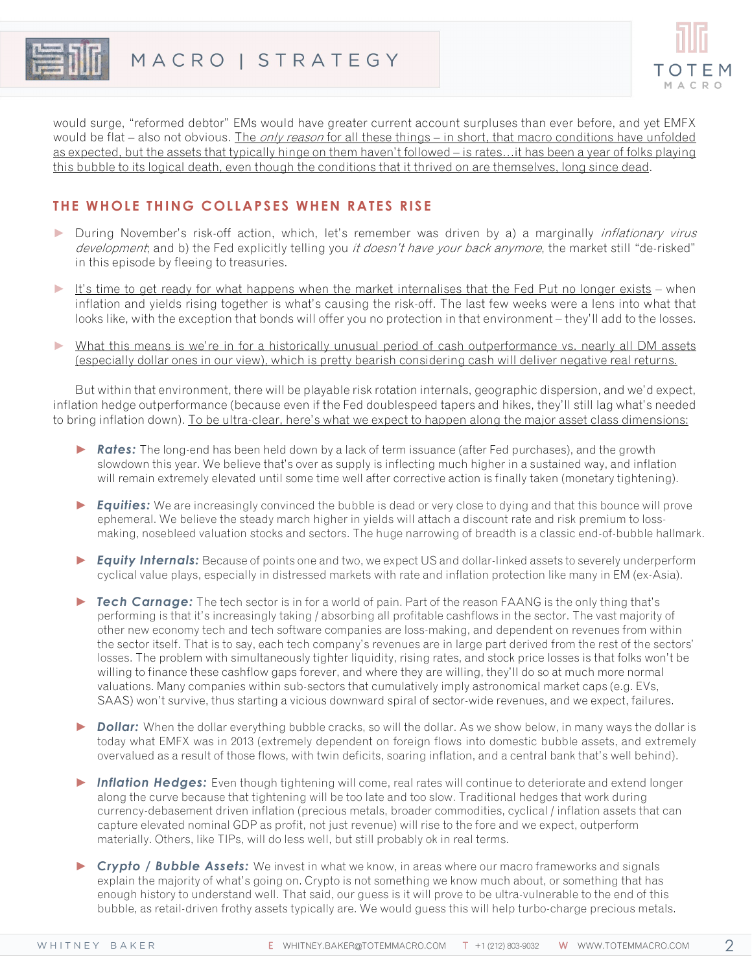



would surge, "reformed debtor" EMs would have greater current account surpluses than ever before, and yet EMFX would be flat – also not obvious. The *only reason* for all these things – in short, that macro conditions have unfolded as expected, but the assets that typically hinge on them haven't followed – is rates…it has been a year of folks playing this bubble to its logical death, even though the conditions that it thrived on are themselves, long since dead.

## **THE WHOLE THING COLLAPSES WHEN RATES RISE**

- ► During November's risk-off action, which, let's remember was driven by a) a marginally *inflationary virus* development; and b) the Fed explicitly telling you *it doesn't have your back anymore*, the market still "de-risked" in this episode by fleeing to treasuries.
- ► It's time to get ready for what happens when the market internalises that the Fed Put no longer exists when inflation and yields rising together is what's causing the risk-off. The last few weeks were a lens into what that looks like, with the exception that bonds will offer you no protection in that environment – they'll add to the losses.
- ► What this means is we're in for a historically unusual period of cash outperformance vs. nearly all DM assets (especially dollar ones in our view), which is pretty bearish considering cash will deliver negative real returns.

But within that environment, there will be playable risk rotation internals, geographic dispersion, and we'd expect, inflation hedge outperformance (because even if the Fed doublespeed tapers and hikes, they'll still lag what's needed to bring inflation down). To be ultra-clear, here's what we expect to happen along the major asset class dimensions:

- ► *Rates:* The long-end has been held down by a lack of term issuance (after Fed purchases), and the growth slowdown this year. We believe that's over as supply is inflecting much higher in a sustained way, and inflation will remain extremely elevated until some time well after corrective action is finally taken (monetary tightening).
- ► *Equities:* We are increasingly convinced the bubble is dead or very close to dying and that this bounce will prove ephemeral. We believe the steady march higher in yields will attach a discount rate and risk premium to lossmaking, nosebleed valuation stocks and sectors. The huge narrowing of breadth is a classic end-of-bubble hallmark.
- ► *Equity Internals:* Because of points one and two, we expect US and dollar-linked assets to severely underperform cyclical value plays, especially in distressed markets with rate and inflation protection like many in EM (ex-Asia).
- ► *Tech Carnage:* The tech sector is in for a world of pain. Part of the reason FAANG is the only thing that's performing is that it's increasingly taking / absorbing all profitable cashflows in the sector. The vast majority of other new economy tech and tech software companies are loss-making, and dependent on revenues from within the sector itself. That is to say, each tech company's revenues are in large part derived from the rest of the sectors' losses. The problem with simultaneously tighter liquidity, rising rates, and stock price losses is that folks won't be willing to finance these cashflow gaps forever, and where they are willing, they'll do so at much more normal valuations. Many companies within sub-sectors that cumulatively imply astronomical market caps (e.g. EVs, SAAS) won't survive, thus starting a vicious downward spiral of sector-wide revenues, and we expect, failures.
- ► *Dollar:* When the dollar everything bubble cracks, so will the dollar. As we show below, in many ways the dollar is today what EMFX was in 2013 (extremely dependent on foreign flows into domestic bubble assets, and extremely overvalued as a result of those flows, with twin deficits, soaring inflation, and a central bank that's well behind).
- ► *Inflation Hedges:* Even though tightening will come, real rates will continue to deteriorate and extend longer along the curve because that tightening will be too late and too slow. Traditional hedges that work during currency-debasement driven inflation (precious metals, broader commodities, cyclical / inflation assets that can capture elevated nominal GDP as profit, not just revenue) will rise to the fore and we expect, outperform materially. Others, like TIPs, will do less well, but still probably ok in real terms.
- ► *Crypto / Bubble Assets:* We invest in what we know, in areas where our macro frameworks and signals explain the majority of what's going on. Crypto is not something we know much about, or something that has enough history to understand well. That said, our guess is it will prove to be ultra-vulnerable to the end of this bubble, as retail-driven frothy assets typically are. We would guess this will help turbo-charge precious metals.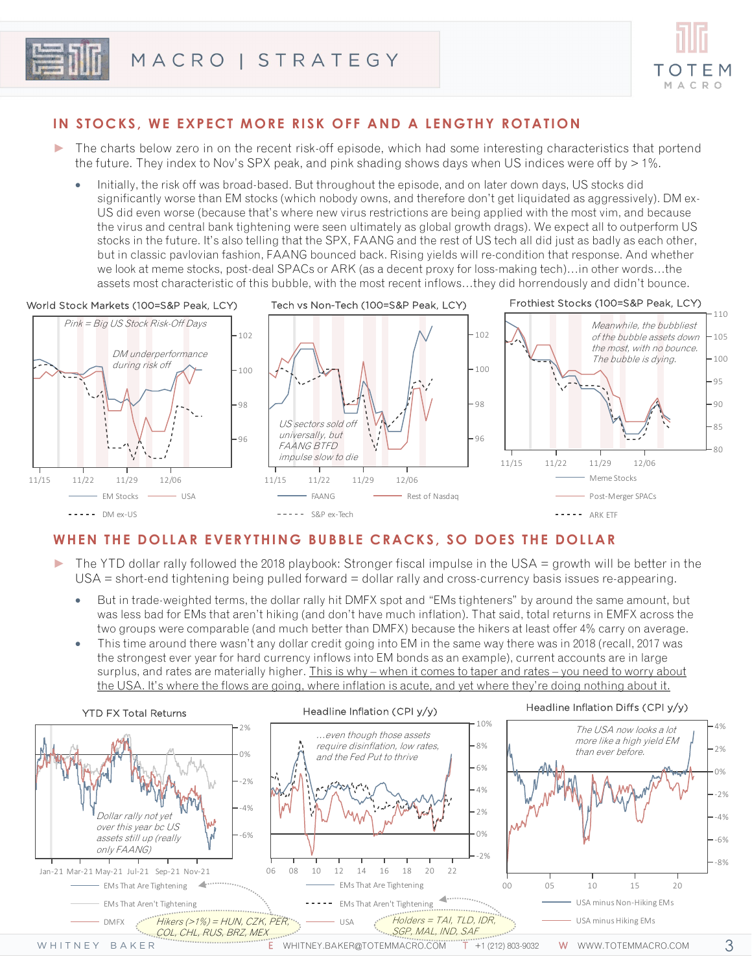



## **IN S TOCKS , WE EXPECT MORE RISK OFF AND A LENGTHY ROTATION**

- ► The charts below zero in on the recent risk-off episode, which had some interesting characteristics that portend the future. They index to Nov's SPX peak, and pink shading shows days when US indices were off by  $> 1\%$ .
	- Initially, the risk off was broad-based. But throughout the episode, and on later down days, US stocks did significantly worse than EM stocks (which nobody owns, and therefore don't get liquidated as aggressively). DM ex-US did even worse (because that's where new virus restrictions are being applied with the most vim, and because the virus and central bank tightening were seen ultimately as global growth drags). We expect all to outperform US stocks in the future. It's also telling that the SPX, FAANG and the rest of US tech all did just as badly as each other, but in classic pavlovian fashion, FAANG bounced back. Rising yields will re-condition that response. And whether we look at meme stocks, post-deal SPACs or ARK (as a decent proxy for loss-making tech)…in other words…the assets most characteristic of this bubble, with the most recent inflows…they did horrendously and didn't bounce.



## **WHEN THE DOLLAR EVERYTHING BUBBLE CRACKS, S O DOES THE DOLLAR**

- ► The YTD dollar rally followed the 2018 playbook: Stronger fiscal impulse in the USA = growth will be better in the USA = short-end tightening being pulled forward = dollar rally and cross-currency basis issues re-appearing.
	- But in trade-weighted terms, the dollar rally hit DMFX spot and "EMs tighteners" by around the same amount, but was less bad for EMs that aren't hiking (and don't have much inflation). That said, total returns in EMFX across the two groups were comparable (and much better than DMFX) because the hikers at least offer 4% carry on average.
	- This time around there wasn't any dollar credit going into EM in the same way there was in 2018 (recall, 2017 was the strongest ever year for hard currency inflows into EM bonds as an example), current accounts are in large surplus, and rates are materially higher. This is why - when it comes to taper and rates - you need to worry about the USA. It's where the flows are going, where inflation is acute, and yet where they're doing nothing about it.

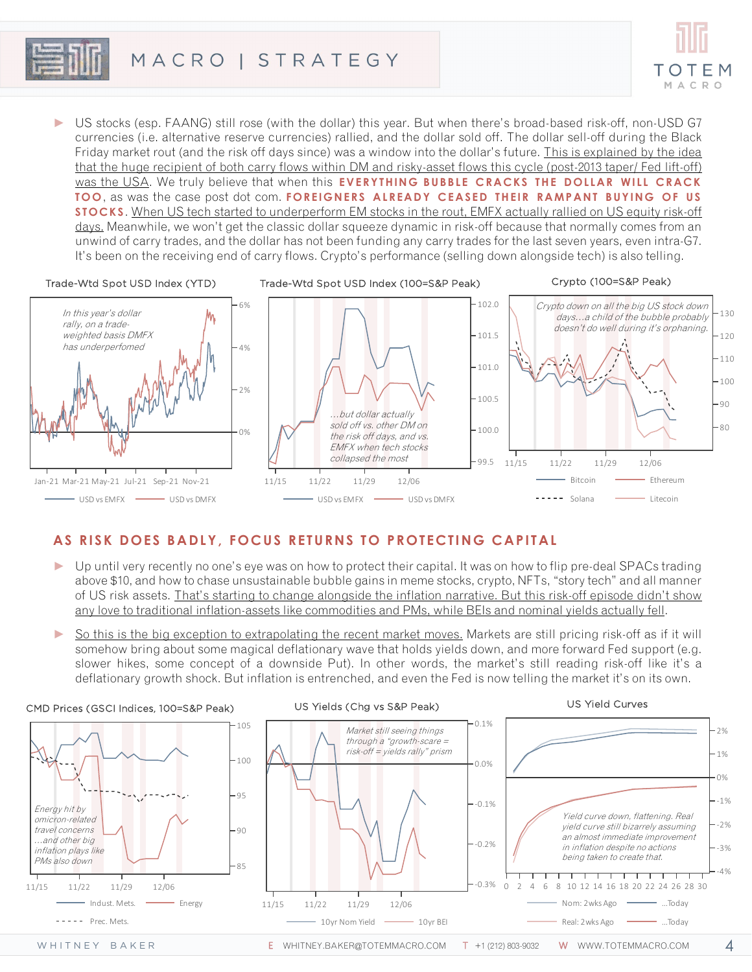

► US stocks (esp. FAANG) still rose (with the dollar) this year. But when there's broad-based risk-off, non-USD G7 currencies (i.e. alternative reserve currencies) rallied, and the dollar sold off. The dollar sell-off during the Black Friday market rout (and the risk off days since) was a window into the dollar's future. This is explained by the idea that the huge recipient of both carry flows within DM and risky-asset flows this cycle (post-2013 taper/ Fed lift-off) was the USA. We truly believe that when this **EVERYTHING BUBBLE CRACKS THE DOLLAR WILL CRACK TOO**, as was the case post dot com. **FOREIGNERS ALREADY CEASED THEIR RAMPANT BUYING OF US STOCKS** . When US tech started to underperform EM stocks in the rout, EMFX actually rallied on US equity risk-off days. Meanwhile, we won't get the classic dollar squeeze dynamic in risk-off because that normally comes from an unwind of carry trades, and the dollar has not been funding any carry trades for the last seven years, even intra-G7. It's been on the receiving end of carry flows. Crypto's performance (selling down alongside tech) is also telling.



## **AS RISK DOES BADLY, FOCUS RETURNS TO PROTECTING CAPITAL**

- ► Up until very recently no one's eye was on how to protect their capital. It was on how to flip pre-deal SPACs trading above \$10, and how to chase unsustainable bubble gains in meme stocks, crypto, NFTs, "story tech" and all manner of US risk assets. That's starting to change alongside the inflation narrative. But this risk-off episode didn't show any love to traditional inflation-assets like commodities and PMs, while BEIs and nominal yields actually fell.
- So this is the big exception to extrapolating the recent market moves. Markets are still pricing risk-off as if it will somehow bring about some magical deflationary wave that holds yields down, and more forward Fed support (e.g. slower hikes, some concept of a downside Put). In other words, the market's still reading risk-off like it's a deflationary growth shock. But inflation is entrenched, and even the Fed is now telling the market it's on its own.

#### CMD Prices (GSCI Indices, 100=S&P Peak)



#### US Yields (Chg vs S&P Peak)



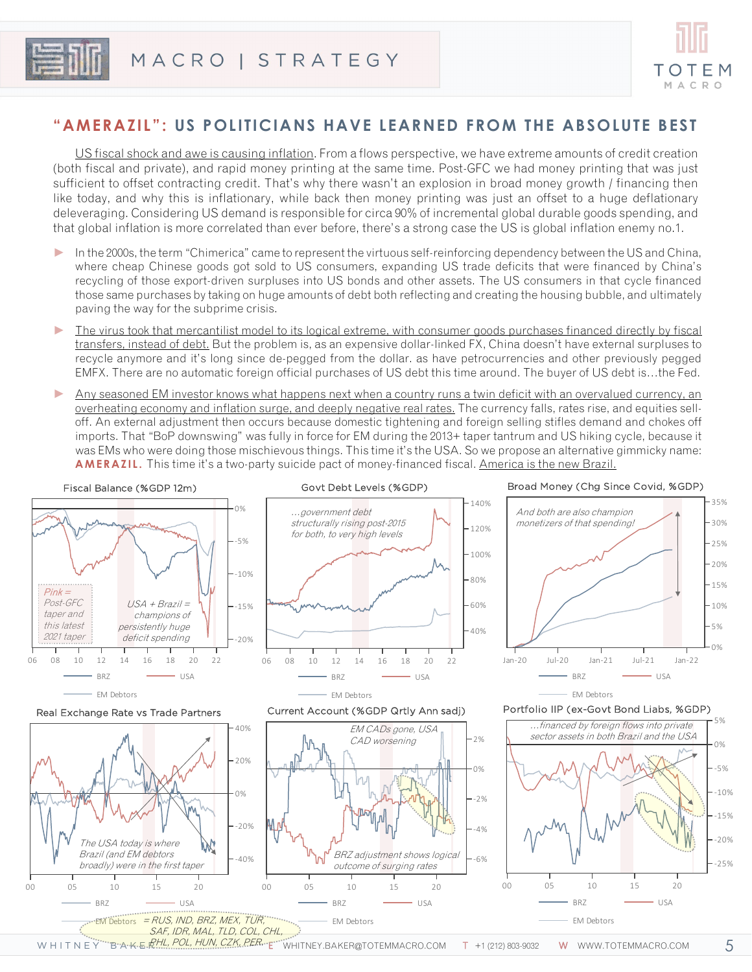



## **"AMERAZIL": US POLITICIANS HAVE LEARNED FROM THE ABSOLUTE BEST**

US fiscal shock and awe is causing inflation. From a flows perspective, we have extreme amounts of credit creation (both fiscal and private), and rapid money printing at the same time. Post-GFC we had money printing that was just sufficient to offset contracting credit. That's why there wasn't an explosion in broad money growth / financing then like today, and why this is inflationary, while back then money printing was just an offset to a huge deflationary deleveraging. Considering US demand is responsible for circa 90% of incremental global durable goods spending, and that global inflation is more correlated than ever before, there's a strong case the US is global inflation enemy no.1.

- In the 2000s, the term "Chimerica" came to represent the virtuous self-reinforcing dependency between the US and China, where cheap Chinese goods got sold to US consumers, expanding US trade deficits that were financed by China's recycling of those export-driven surpluses into US bonds and other assets. The US consumers in that cycle financed those same purchases by taking on huge amounts of debt both reflecting and creating the housing bubble, and ultimately paving the way for the subprime crisis.
- The virus took that mercantilist model to its logical extreme, with consumer goods purchases financed directly by fiscal transfers, instead of debt. But the problem is, as an expensive dollar-linked FX, China doesn't have external surpluses to recycle anymore and it's long since de-pegged from the dollar. as have petrocurrencies and other previously pegged EMFX. There are no automatic foreign official purchases of US debt this time around. The buyer of US debt is…the Fed.
- Any seasoned EM investor knows what happens next when a country runs a twin deficit with an overvalued currency, an overheating economy and inflation surge, and deeply negative real rates. The currency falls, rates rise, and equities selloff. An external adjustment then occurs because domestic tightening and foreign selling stifles demand and chokes off imports. That "BoP downswing" was fully in force for EM during the 2013+ taper tantrum and US hiking cycle, because it was EMs who were doing those mischievous things. This time it's the USA. So we propose an alternative gimmicky name: **AMERAZIL.** This time it's a two-party suicide pact of money-financed fiscal. America is the new Brazil.



#### Govt Debt Levels (%GDP)



# Broad Money (Chg Since Covid, %GDP)



#### Real Exchange Rate vs Trade Partners



#### Current Account (%GDP Qrtly Ann sadj)



### Portfolio IIP (ex-Govt Bond Liabs, %GDP)



W H I T N E Y''''B'A'K E *RHL, POL, HUN, CZK, PER.* E'''WHITNEY.BAKER@TOTEMMACRO.COM T +1 (212) 803-9032 W WWW.TOTEMMACRO.COM

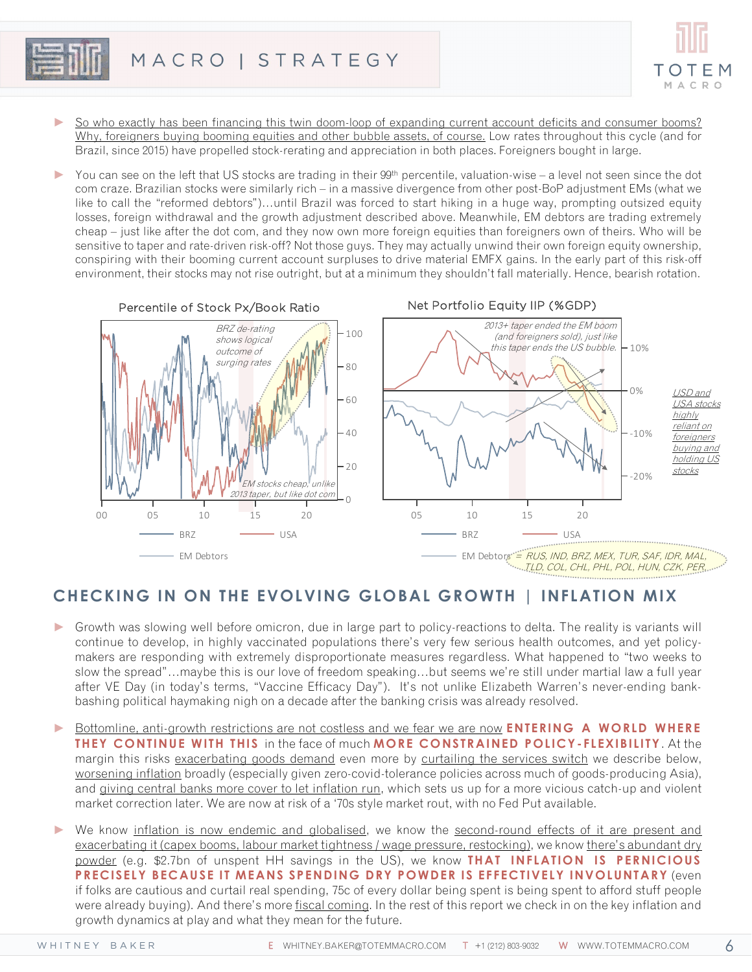

- So who exactly has been financing this twin doom-loop of expanding current account deficits and consumer booms? Why, foreigners buying booming equities and other bubble assets, of course. Low rates throughout this cycle (and for Brazil, since 2015) have propelled stock-rerating and appreciation in both places. Foreigners bought in large.
- ► You can see on the left that US stocks are trading in their 99th percentile, valuation-wise a level not seen since the dot com craze. Brazilian stocks were similarly rich – in a massive divergence from other post-BoP adjustment EMs (what we like to call the "reformed debtors")…until Brazil was forced to start hiking in a huge way, prompting outsized equity losses, foreign withdrawal and the growth adjustment described above. Meanwhile, EM debtors are trading extremely cheap – just like after the dot com, and they now own more foreign equities than foreigners own of theirs. Who will be sensitive to taper and rate-driven risk-off? Not those guys. They may actually unwind their own foreign equity ownership, conspiring with their booming current account surpluses to drive material EMFX gains. In the early part of this risk-off environment, their stocks may not rise outright, but at a minimum they shouldn't fall materially. Hence, bearish rotation.



# **CHECKING IN ON THE EVOLVING GLOBAL GROWTH | INFLATION MIX**

- ► Growth was slowing well before omicron, due in large part to policy-reactions to delta. The reality is variants will continue to develop, in highly vaccinated populations there's very few serious health outcomes, and yet policymakers are responding with extremely disproportionate measures regardless. What happened to "two weeks to slow the spread"…maybe this is our love of freedom speaking…but seems we're still under martial law a full year after VE Day (in today's terms, "Vaccine Efficacy Day"). It's not unlike Elizabeth Warren's never-ending bankbashing political haymaking nigh on a decade after the banking crisis was already resolved.
- ► Bottomline, anti-growth restrictions are not costless and we fear we are now **ENTERING A WORLD WHERE THEY CONTINUE WITH THIS** in the face of much **MORE CONSTRAINED POLICY- FLEXIBILITY**. At the margin this risks exacerbating goods demand even more by curtailing the services switch we describe below, worsening inflation broadly (especially given zero-covid-tolerance policies across much of goods-producing Asia), and giving central banks more cover to let inflation run, which sets us up for a more vicious catch-up and violent market correction later. We are now at risk of a '70s style market rout, with no Fed Put available.
- We know inflation is now endemic and globalised, we know the second-round effects of it are present and exacerbating it (capex booms, labour market tightness / wage pressure, restocking), we know there's abundant dry powder (e.g. \$2.7bn of unspent HH savings in the US), we know **THAT INFLATION IS PERNICIOUS PRECISELY BECAUSE IT MEANS SPENDING DRY POWDER IS EFFECTIVELY INVOLUNTARY** (even if folks are cautious and curtail real spending, 75c of every dollar being spent is being spent to afford stuff people were already buying). And there's more fiscal coming. In the rest of this report we check in on the key inflation and growth dynamics at play and what they mean for the future.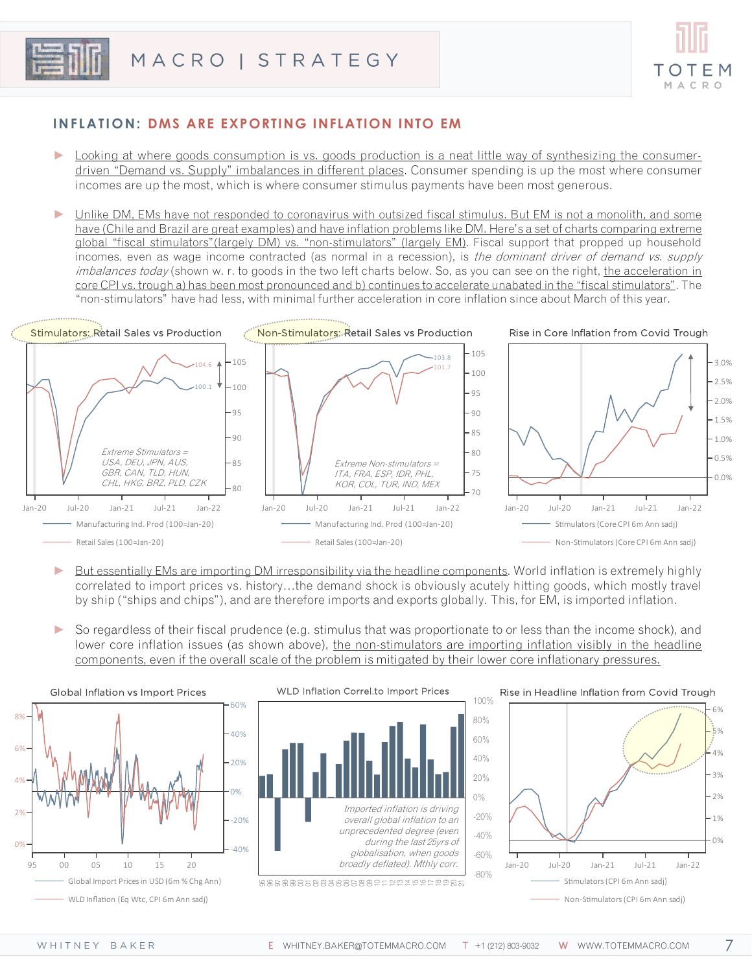



## **INFLATION: DMS ARE EXPORTING INFLATION INTO EM**

- Looking at where goods consumption is vs. goods production is a neat little way of synthesizing the consumerdriven "Demand vs. Supply" imbalances in different places. Consumer spending is up the most where consumer incomes are up the most, which is where consumer stimulus payments have been most generous.
- Unlike DM, EMs have not responded to coronavirus with outsized fiscal stimulus. But EM is not a monolith, and some have (Chile and Brazil are great examples) and have inflation problems like DM. Here's a set of charts comparing extreme global "fiscal stimulators"(largely DM) vs. "non-stimulators" (largely EM). Fiscal support that propped up household incomes, even as wage income contracted (as normal in a recession), is the dominant driver of demand vs. supply imbalances today (shown w. r. to goods in the two left charts below. So, as you can see on the right, the acceleration in core CPI vs. trough a) has been most pronounced and b) continues to accelerate unabated in the "fiscal stimulators". The "non-stimulators" have had less, with minimal further acceleration in core inflation since about March of this year.



- But essentially EMs are importing DM irresponsibility via the headline components. World inflation is extremely highly correlated to import prices vs. history…the demand shock is obviously acutely hitting goods, which mostly travel by ship ("ships and chips"), and are therefore imports and exports globally. This, for EM, is imported inflation.
- So regardless of their fiscal prudence (e.g. stimulus that was proportionate to or less than the income shock), and lower core inflation issues (as shown above), the non-stimulators are importing inflation visibly in the headline components, even if the overall scale of the problem is mitigated by their lower core inflationary pressures.



-80% -60% -40% -20% 0% 20% 40% 60% 80% 100% Imported inflation is driving overall global inflation to an unprecedented degree (even during the last 25yrs of globalisation, when goods broadly deflated). Mthly corr.

WLD Inflation Correl.to Import Prices

B\$6\$88858885882∓≌≌≇≌£≌₽₽₽₽

#### Rise in Headline Inflation from Covid Trough



7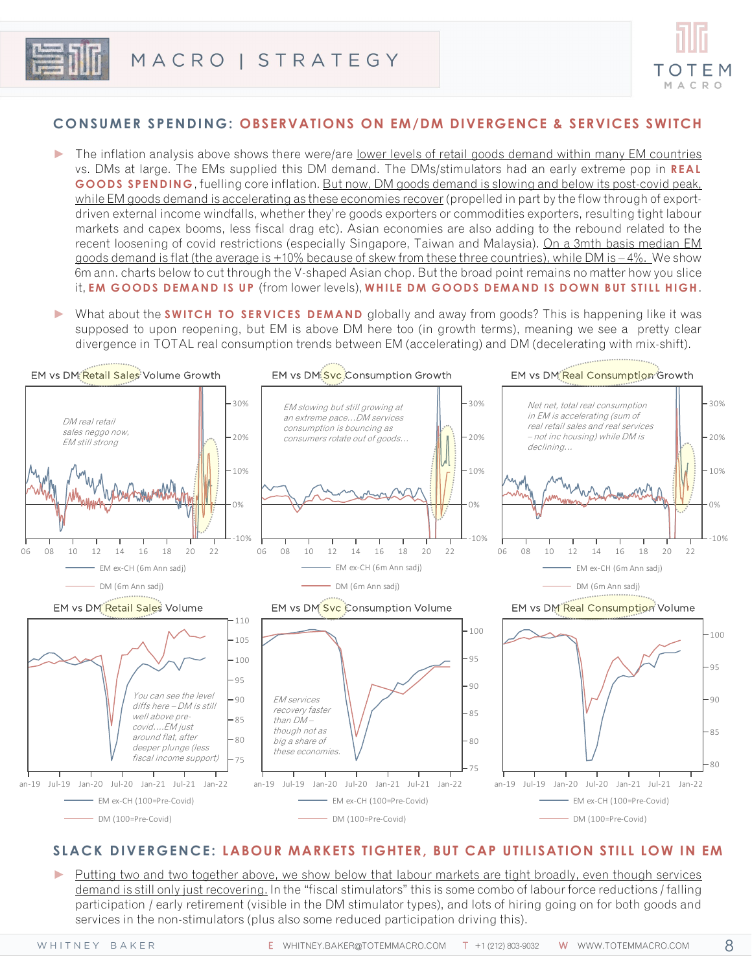

## **CONSUMER SPENDING: OBSERVATIONS ON EM/DM DIVERGENCE & SERVICES SWITCH**

- ► The inflation analysis above shows there were/are lower levels of retail goods demand within many EM countries vs. DMs at large. The EMs supplied this DM demand. The DMs/stimulators had an early extreme pop in **REAL GOODS SPENDING**, fuelling core inflation. But now, DM goods demand is slowing and below its post-covid peak, while EM goods demand is accelerating as these economies recover (propelled in part by the flow through of exportdriven external income windfalls, whether they're goods exporters or commodities exporters, resulting tight labour markets and capex booms, less fiscal drag etc). Asian economies are also adding to the rebound related to the recent loosening of covid restrictions (especially Singapore, Taiwan and Malaysia). On a 3mth basis median EM goods demand is flat (the average is +10% because of skew from these three countries), while DM is – 4%. We show 6m ann. charts below to cut through the V-shaped Asian chop. But the broad point remains no matter how you slice it, **EM GOODS DEMAND IS UP** (from lower levels), **WHILE DM GOODS DEMAND IS DOWN BUT STILL HIGH**.
- What about the **SWITCH TO SERVICES DEMAND** globally and away from goods? This is happening like it was supposed to upon reopening, but EM is above DM here too (in growth terms), meaning we see a pretty clear divergence in TOTAL real consumption trends between EM (accelerating) and DM (decelerating with mix-shift).



### **SLACK DIVERGENCE: LABOUR MARKETS TIGHTER, BUT CAP UTILISATION STILL LOW IN EM**

► Putting two and two together above, we show below that labour markets are tight broadly, even though services demand is still only just recovering. In the "fiscal stimulators" this is some combo of labour force reductions / falling participation / early retirement (visible in the DM stimulator types), and lots of hiring going on for both goods and services in the non-stimulators (plus also some reduced participation driving this).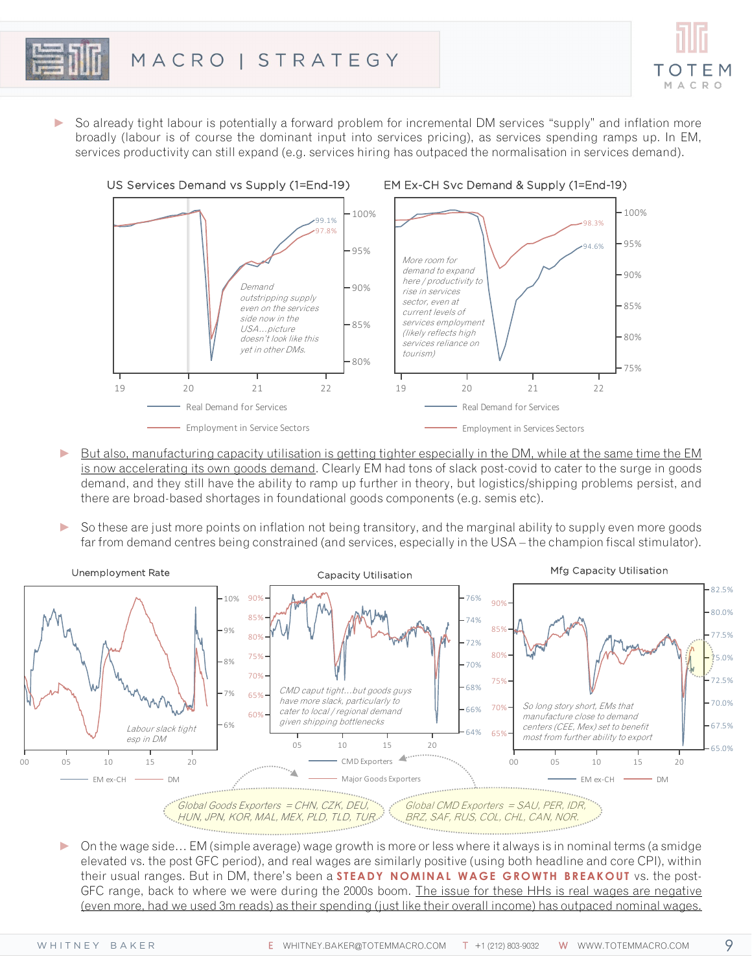

► So already tight labour is potentially a forward problem for incremental DM services "supply" and inflation more broadly (labour is of course the dominant input into services pricing), as services spending ramps up. In EM, services productivity can still expand (e.g. services hiring has outpaced the normalisation in services demand).



- ► But also, manufacturing capacity utilisation is getting tighter especially in the DM, while at the same time the EM is now accelerating its own goods demand. Clearly EM had tons of slack post-covid to cater to the surge in goods demand, and they still have the ability to ramp up further in theory, but logistics/shipping problems persist, and there are broad-based shortages in foundational goods components (e.g. semis etc).
- So these are just more points on inflation not being transitory, and the marginal ability to supply even more goods far from demand centres being constrained (and services, especially in the USA – the champion fiscal stimulator).



► On the wage side… EM (simple average) wage growth is more or less where it always is in nominal terms (a smidge elevated vs. the post GFC period), and real wages are similarly positive (using both headline and core CPI), within their usual ranges. But in DM, there's been a **STEADY NOMINAL WAGE GROWTH BREAKOUT** vs. the post-GFC range, back to where we were during the 2000s boom. The issue for these HHs is real wages are negative (even more, had we used 3m reads) as their spending (just like their overall income) has outpaced nominal wages.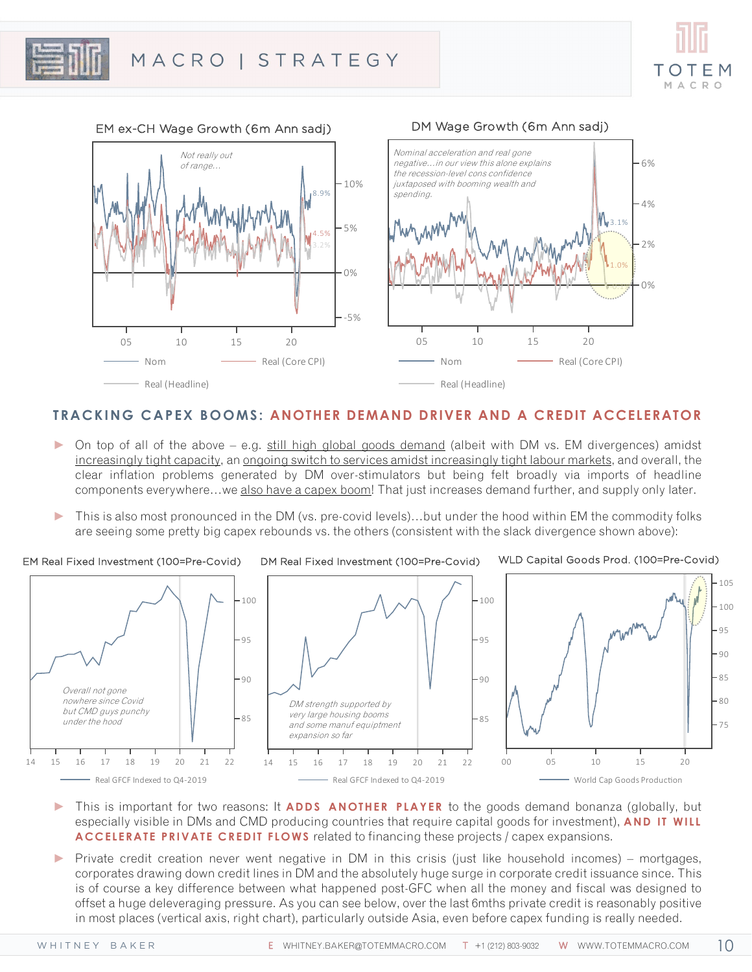



## **TRACKING CAPEX BOOMS: ANOTHER DEMAND DRIVER AND A CREDIT ACCELERATOR**

- ► On top of all of the above e.g. still high global goods demand (albeit with DM vs. EM divergences) amidst increasingly tight capacity, an ongoing switch to services amidst increasingly tight labour markets, and overall, the clear inflation problems generated by DM over-stimulators but being felt broadly via imports of headline components everywhere...we also have a capex boom! That just increases demand further, and supply only later.
- This is also most pronounced in the DM (vs. pre-covid levels)...but under the hood within EM the commodity folks are seeing some pretty big capex rebounds vs. the others (consistent with the slack divergence shown above):

EM Real Fixed Investment (100=Pre-Covid)

DM Real Fixed Investment (100=Pre-Covid)

WLD Capital Goods Prod. (100=Pre-Covid)

10



- ► This is important for two reasons: It **ADDS ANOTHER PLAYER** to the goods demand bonanza (globally, but especially visible in DMs and CMD producing countries that require capital goods for investment), **AND IT WILL ACCELERATE PRIVATE CREDIT FLOWS** related to financing these projects / capex expansions.
- ► Private credit creation never went negative in DM in this crisis (just like household incomes) mortgages, corporates drawing down credit lines in DM and the absolutely huge surge in corporate credit issuance since. This is of course a key difference between what happened post-GFC when all the money and fiscal was designed to offset a huge deleveraging pressure. As you can see below, over the last 6mths private credit is reasonably positive in most places (vertical axis, right chart), particularly outside Asia, even before capex funding is really needed.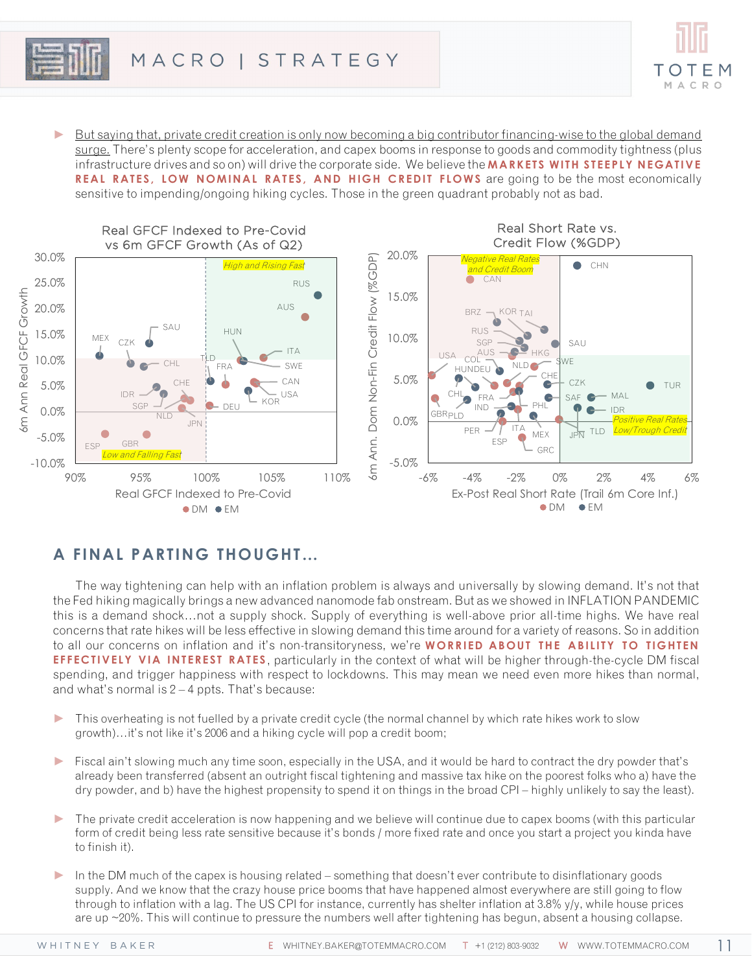

► But saying that, private credit creation is only now becoming a big contributor financing-wise to the global demand surge. There's plenty scope for acceleration, and capex booms in response to goods and commodity tightness (plus infrastructure drives and so on) will drive the corporate side. We believe the **MARKETS WITH STEEPLY NEGATIVE REAL RATES, LOW NOMINAL RATES, AND HIGH CREDIT FLOWS** are going to be the most economically sensitive to impending/ongoing hiking cycles. Those in the green quadrant probably not as bad.



# **A FINAL PARTING THOUGHT…**

The way tightening can help with an inflation problem is always and universally by slowing demand. It's not that the Fed hiking magically brings a new advanced nanomode fab onstream. But as we showed in INFLATION PANDEMIC this is a demand shock…not a supply shock. Supply of everything is well-above prior all-time highs. We have real concerns that rate hikes will be less effective in slowing demand this time around for a variety of reasons. So in addition to all our concerns on inflation and it's non-transitoryness, we're **WORRIED ABOUT THE ABILITY TO TIGHTEN EFFECTIVELY VIA INTEREST RATES** , particularly in the context of what will be higher through-the-cycle DM fiscal spending, and trigger happiness with respect to lockdowns. This may mean we need even more hikes than normal, and what's normal is  $2 - 4$  ppts. That's because:

- ► This overheating is not fuelled by a private credit cycle (the normal channel by which rate hikes work to slow growth)…it's not like it's 2006 and a hiking cycle will pop a credit boom;
- ► Fiscal ain't slowing much any time soon, especially in the USA, and it would be hard to contract the dry powder that's already been transferred (absent an outright fiscal tightening and massive tax hike on the poorest folks who a) have the dry powder, and b) have the highest propensity to spend it on things in the broad CPI – highly unlikely to say the least).
- ► The private credit acceleration is now happening and we believe will continue due to capex booms (with this particular form of credit being less rate sensitive because it's bonds / more fixed rate and once you start a project you kinda have to finish it).
- ► In the DM much of the capex is housing related something that doesn't ever contribute to disinflationary goods supply. And we know that the crazy house price booms that have happened almost everywhere are still going to flow through to inflation with a lag. The US CPI for instance, currently has shelter inflation at 3.8% y/y, while house prices are up ~20%. This will continue to pressure the numbers well after tightening has begun, absent a housing collapse.